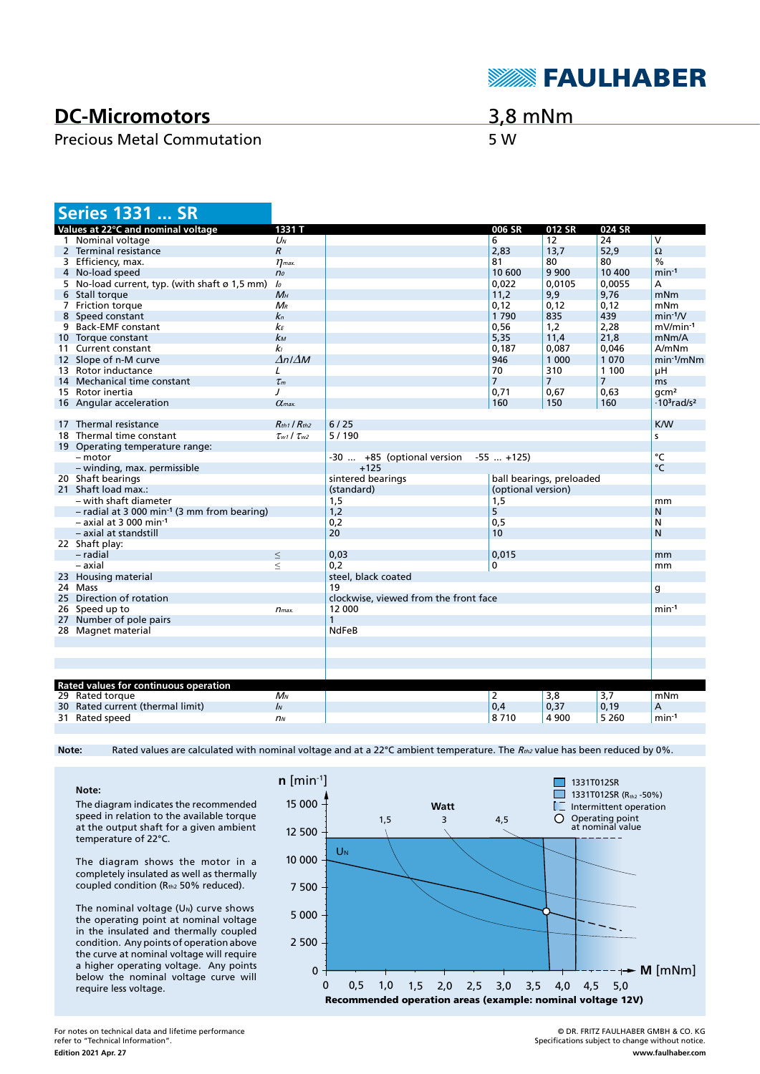

## **DC-Micromotors**

## Precious Metal Commutation 5 W

3,8 mNm

| <b>Series 1331  SR</b>                                    |                           |                                       |                    |                          |                |                                            |
|-----------------------------------------------------------|---------------------------|---------------------------------------|--------------------|--------------------------|----------------|--------------------------------------------|
| Values at 22°C and nominal voltage                        | 1331 T                    |                                       | 006 SR             | 012 SR                   | 024 SR         |                                            |
| 1 Nominal voltage                                         | $U_N$                     |                                       | 6                  | 12                       | 24             | $\overline{\mathsf{v}}$                    |
| 2 Terminal resistance                                     | $\boldsymbol{R}$          |                                       | 2,83               | 13,7                     | 52,9           | $\Omega$                                   |
| 3 Efficiency, max.                                        | $\eta$ <sub>max</sub> .   |                                       | 81                 | 80                       | 80             | %                                          |
| 4 No-load speed                                           | n <sub>o</sub>            |                                       | 10 600             | 9 9 0 0                  | 10 400         | $min-1$                                    |
| 5 No-load current, typ. (with shaft ø 1,5 mm)             | lo                        |                                       | 0,022              | 0,0105                   | 0,0055         | A                                          |
| 6 Stall torque                                            | $M_H$                     |                                       | 11,2               | 9,9                      | 9,76           | mNm                                        |
| 7 Friction torque                                         | $M_{R}$                   |                                       | 0,12               | 0,12                     | 0,12           | mNm                                        |
| 8 Speed constant                                          | $\mathbf{k}$ n            |                                       | 1790               | 835                      | 439            | $min-1/V$                                  |
| 9 Back-EMF constant                                       | kЕ                        |                                       | 0,56               | 1,2                      | 2,28           | mV/min-1                                   |
| 10 Torque constant                                        | $k_{M}$                   |                                       | 5,35               | 11,4                     | 21,8           | mNm/A                                      |
| 11 Current constant                                       | kı                        |                                       | 0.187              | 0.087                    | 0.046          | A/mNm                                      |
| 12 Slope of n-M curve                                     | $\Delta n / \Delta M$     |                                       | 946                | 1 000                    | 1 0 7 0        | $min-1/mNm$                                |
| 13 Rotor inductance                                       | L                         |                                       | 70                 | 310                      | 1 1 0 0        | μH                                         |
| 14 Mechanical time constant                               | $\tau_m$                  |                                       | $\overline{7}$     | $\overline{7}$           | $\overline{7}$ | ms                                         |
| 15 Rotor inertia                                          | $\prime$                  |                                       | 0,71               | 0,67                     | 0,63           | qcm <sup>2</sup>                           |
| 16 Angular acceleration                                   | $\alpha$ <sub>max</sub>   |                                       | 160                | 150                      | 160            | $\cdot$ 10 <sup>3</sup> rad/s <sup>2</sup> |
|                                                           |                           |                                       |                    |                          |                |                                            |
| 17 Thermal resistance                                     | $R_{th1}$ / $R_{th2}$     | 6/25                                  |                    |                          |                | <b>K/W</b>                                 |
| 18 Thermal time constant                                  | $\tau_{w1}$ / $\tau_{w2}$ | 5/190<br>s                            |                    |                          |                |                                            |
| 19 Operating temperature range:                           |                           |                                       |                    |                          |                |                                            |
| - motor                                                   |                           | -30  +85 (optional version            | $-55$ $+125$       |                          |                | °C                                         |
| - winding, max. permissible                               |                           | $+125$                                |                    |                          |                | $^{\circ}$ C                               |
| 20 Shaft bearings                                         |                           | sintered bearings                     |                    | ball bearings, preloaded |                |                                            |
| 21 Shaft load max.:                                       |                           | (standard)                            | (optional version) |                          |                |                                            |
| - with shaft diameter                                     |                           | 1,5                                   | 1,5                |                          |                | mm                                         |
| $-$ radial at 3 000 min <sup>-1</sup> (3 mm from bearing) |                           | 1,2                                   | 5                  |                          |                | N                                          |
| $-$ axial at 3 000 min <sup>-1</sup>                      |                           | 0,2                                   | 0,5                |                          |                | N                                          |
| - axial at standstill                                     |                           | 20                                    | 10                 |                          |                | $\mathsf{N}$                               |
| 22 Shaft play:                                            |                           |                                       |                    |                          |                |                                            |
| - radial                                                  | $\leq$                    | 0,03                                  | 0.015              |                          |                | mm                                         |
| – axial                                                   | $\leq$                    | 0.2                                   | 0                  |                          |                | mm                                         |
| 23 Housing material                                       |                           | steel, black coated                   |                    |                          |                |                                            |
| 24 Mass                                                   |                           | 19<br>g                               |                    |                          |                |                                            |
| 25 Direction of rotation                                  |                           | clockwise, viewed from the front face |                    |                          |                |                                            |
| 26 Speed up to                                            | $n_{max.}$                | 12 000<br>$min-1$                     |                    |                          |                |                                            |
| 27 Number of pole pairs                                   |                           |                                       |                    |                          |                |                                            |
| 28 Magnet material                                        |                           | <b>NdFeB</b>                          |                    |                          |                |                                            |
|                                                           |                           |                                       |                    |                          |                |                                            |
|                                                           |                           |                                       |                    |                          |                |                                            |
|                                                           |                           |                                       |                    |                          |                |                                            |
|                                                           |                           |                                       |                    |                          |                |                                            |
| Rated values for continuous operation                     |                           |                                       |                    |                          |                |                                            |
| 29 Rated torque                                           | $M_N$                     |                                       | 2                  | 3,8                      | 3,7            | mNm                                        |
| 30 Rated current (thermal limit)                          | $\mathbf{I}$              |                                       | 0,4                | 0,37                     | 0,19           | А                                          |
| 31 Rated speed                                            | n <sub>N</sub>            |                                       | 8710               | 4 9 0 0                  | 5 2 6 0        | $min-1$                                    |
|                                                           |                           |                                       |                    |                          |                |                                            |

Note: Rated values are calculated with nominal voltage and at a 22°C ambient temperature. The R<sub>th2</sub> value has been reduced by 0%.

**Note:** The diagram indicates the recommended speed in relation to the available torque at the output shaft for a given ambient temperature of 22°C.

The diagram shows the motor in a completely insulated as well as thermally coupled condition (Rth2 50% reduced).

The nominal voltage  $(U<sub>N</sub>)$  curve shows the operating point at nominal voltage in the insulated and thermally coupled condition. Any points of operation above the curve at nominal voltage will require a higher operating voltage. Any points below the nominal voltage curve will require less voltage.